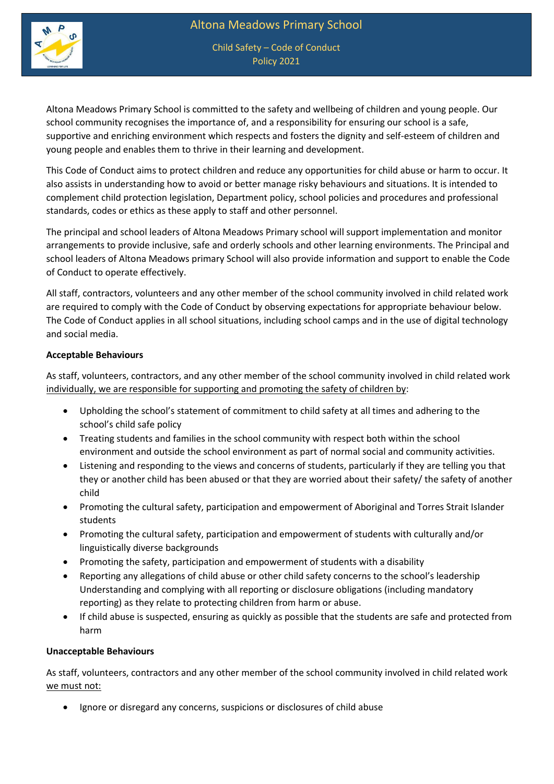

Child Safety – Code of Conduct Policy 2021

Altona Meadows Primary School is committed to the safety and wellbeing of children and young people. Our school community recognises the importance of, and a responsibility for ensuring our school is a safe, supportive and enriching environment which respects and fosters the dignity and self-esteem of children and young people and enables them to thrive in their learning and development.

This Code of Conduct aims to protect children and reduce any opportunities for child abuse or harm to occur. It also assists in understanding how to avoid or better manage risky behaviours and situations. It is intended to complement child protection legislation, Department policy, school policies and procedures and professional standards, codes or ethics as these apply to staff and other personnel.

The principal and school leaders of Altona Meadows Primary school will support implementation and monitor arrangements to provide inclusive, safe and orderly schools and other learning environments. The Principal and school leaders of Altona Meadows primary School will also provide information and support to enable the Code of Conduct to operate effectively.

All staff, contractors, volunteers and any other member of the school community involved in child related work are required to comply with the Code of Conduct by observing expectations for appropriate behaviour below. The Code of Conduct applies in all school situations, including school camps and in the use of digital technology and social media.

## **Acceptable Behaviours**

As staff, volunteers, contractors, and any other member of the school community involved in child related work individually, we are responsible for supporting and promoting the safety of children by:

- Upholding the school's statement of commitment to child safety at all times and adhering to the school's child safe policy
- Treating students and families in the school community with respect both within the school environment and outside the school environment as part of normal social and community activities.
- Listening and responding to the views and concerns of students, particularly if they are telling you that they or another child has been abused or that they are worried about their safety/ the safety of another child
- Promoting the cultural safety, participation and empowerment of Aboriginal and Torres Strait Islander students
- Promoting the cultural safety, participation and empowerment of students with culturally and/or linguistically diverse backgrounds
- Promoting the safety, participation and empowerment of students with a disability
- Reporting any allegations of child abuse or other child safety concerns to the school's leadership Understanding and complying with all reporting or disclosure obligations (including mandatory reporting) as they relate to protecting children from harm or abuse.
- If child abuse is suspected, ensuring as quickly as possible that the students are safe and protected from harm

## **Unacceptable Behaviours**

As staff, volunteers, contractors and any other member of the school community involved in child related work we must not:

• Ignore or disregard any concerns, suspicions or disclosures of child abuse